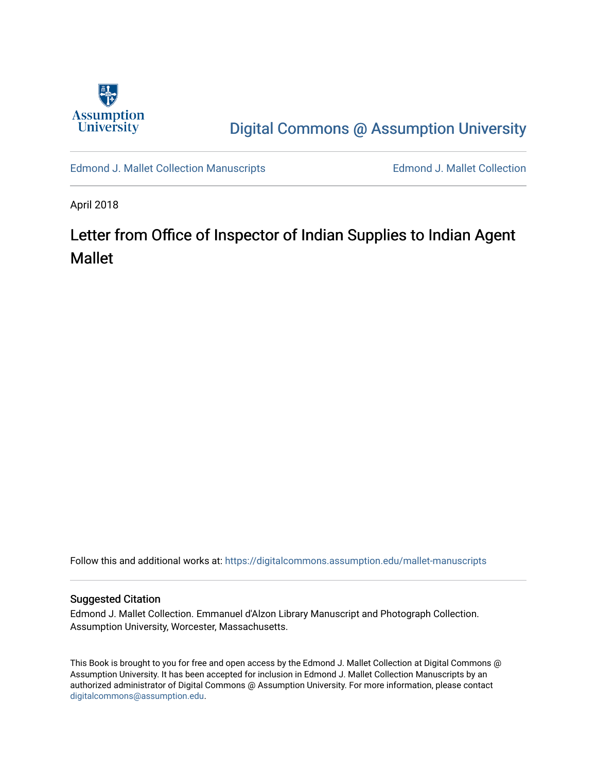

## [Digital Commons @ Assumption University](https://digitalcommons.assumption.edu/)

[Edmond J. Mallet Collection Manuscripts](https://digitalcommons.assumption.edu/mallet-manuscripts) **Edmond J. Mallet Collection** 

April 2018

# Letter from Office of Inspector of Indian Supplies to Indian Agent Mallet

Follow this and additional works at: [https://digitalcommons.assumption.edu/mallet-manuscripts](https://digitalcommons.assumption.edu/mallet-manuscripts?utm_source=digitalcommons.assumption.edu%2Fmallet-manuscripts%2F8&utm_medium=PDF&utm_campaign=PDFCoverPages) 

#### Suggested Citation

Edmond J. Mallet Collection. Emmanuel d'Alzon Library Manuscript and Photograph Collection. Assumption University, Worcester, Massachusetts.

This Book is brought to you for free and open access by the Edmond J. Mallet Collection at Digital Commons @ Assumption University. It has been accepted for inclusion in Edmond J. Mallet Collection Manuscripts by an authorized administrator of Digital Commons @ Assumption University. For more information, please contact [digitalcommons@assumption.edu](mailto:digitalcommons@assumption.edu).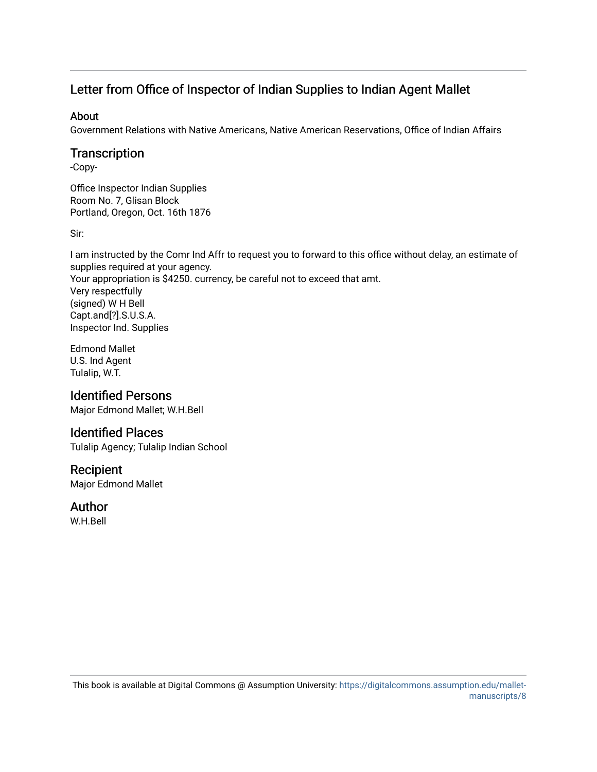## Letter from Office of Inspector of Indian Supplies to Indian Agent Mallet

#### About

Government Relations with Native Americans, Native American Reservations, Office of Indian Affairs

#### **Transcription**

-Copy-

Office Inspector Indian Supplies Room No. 7, Glisan Block Portland, Oregon, Oct. 16th 1876

Sir:

I am instructed by the Comr Ind Affr to request you to forward to this office without delay, an estimate of supplies required at your agency. Your appropriation is \$4250. currency, be careful not to exceed that amt. Very respectfully (signed) W H Bell Capt.and[?].S.U.S.A. Inspector Ind. Supplies

Edmond Mallet U.S. Ind Agent Tulalip, W.T.

### Identified Persons

Major Edmond Mallet; W.H.Bell

### Identified Places

Tulalip Agency; Tulalip Indian School

#### Recipient

Major Edmond Mallet

#### Author

W.H.Bell